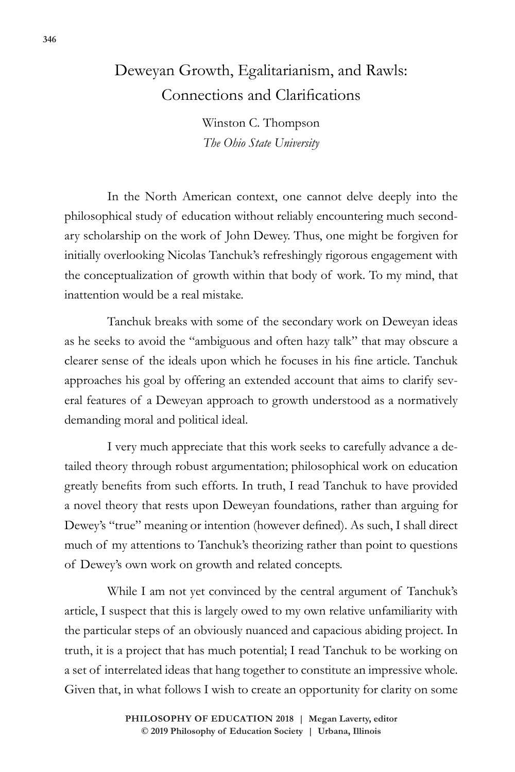## Deweyan Growth, Egalitarianism, and Rawls: Connections and Clarifications

Winston C. Thompson *The Ohio State University*

In the North American context, one cannot delve deeply into the philosophical study of education without reliably encountering much secondary scholarship on the work of John Dewey. Thus, one might be forgiven for initially overlooking Nicolas Tanchuk's refreshingly rigorous engagement with the conceptualization of growth within that body of work. To my mind, that inattention would be a real mistake.

Tanchuk breaks with some of the secondary work on Deweyan ideas as he seeks to avoid the "ambiguous and often hazy talk" that may obscure a clearer sense of the ideals upon which he focuses in his fine article. Tanchuk approaches his goal by offering an extended account that aims to clarify several features of a Deweyan approach to growth understood as a normatively demanding moral and political ideal.

I very much appreciate that this work seeks to carefully advance a detailed theory through robust argumentation; philosophical work on education greatly benefits from such efforts. In truth, I read Tanchuk to have provided a novel theory that rests upon Deweyan foundations, rather than arguing for Dewey's "true" meaning or intention (however defined). As such, I shall direct much of my attentions to Tanchuk's theorizing rather than point to questions of Dewey's own work on growth and related concepts.

While I am not yet convinced by the central argument of Tanchuk's article, I suspect that this is largely owed to my own relative unfamiliarity with the particular steps of an obviously nuanced and capacious abiding project. In truth, it is a project that has much potential; I read Tanchuk to be working on a set of interrelated ideas that hang together to constitute an impressive whole. Given that, in what follows I wish to create an opportunity for clarity on some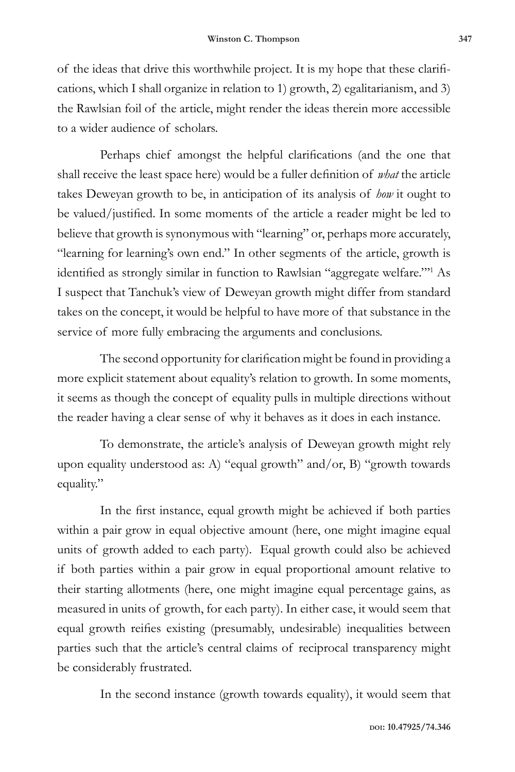of the ideas that drive this worthwhile project. It is my hope that these clarifications, which I shall organize in relation to 1) growth, 2) egalitarianism, and 3) the Rawlsian foil of the article, might render the ideas therein more accessible to a wider audience of scholars.

Perhaps chief amongst the helpful clarifications (and the one that shall receive the least space here) would be a fuller definition of *what* the article takes Deweyan growth to be, in anticipation of its analysis of *how* it ought to be valued/justified. In some moments of the article a reader might be led to believe that growth is synonymous with "learning" or, perhaps more accurately, "learning for learning's own end." In other segments of the article, growth is identified as strongly similar in function to Rawlsian "aggregate welfare."'<sup>1</sup> As I suspect that Tanchuk's view of Deweyan growth might differ from standard takes on the concept, it would be helpful to have more of that substance in the service of more fully embracing the arguments and conclusions.

The second opportunity for clarification might be found in providing a more explicit statement about equality's relation to growth. In some moments, it seems as though the concept of equality pulls in multiple directions without the reader having a clear sense of why it behaves as it does in each instance.

To demonstrate, the article's analysis of Deweyan growth might rely upon equality understood as: A) "equal growth" and/or, B) "growth towards equality."

In the first instance, equal growth might be achieved if both parties within a pair grow in equal objective amount (here, one might imagine equal units of growth added to each party). Equal growth could also be achieved if both parties within a pair grow in equal proportional amount relative to their starting allotments (here, one might imagine equal percentage gains, as measured in units of growth, for each party). In either case, it would seem that equal growth reifies existing (presumably, undesirable) inequalities between parties such that the article's central claims of reciprocal transparency might be considerably frustrated.

In the second instance (growth towards equality), it would seem that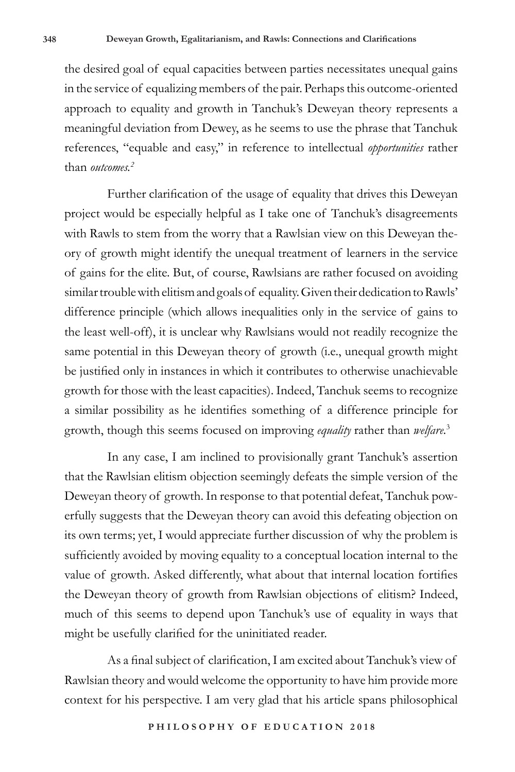the desired goal of equal capacities between parties necessitates unequal gains in the service of equalizing members of the pair. Perhaps this outcome-oriented approach to equality and growth in Tanchuk's Deweyan theory represents a meaningful deviation from Dewey, as he seems to use the phrase that Tanchuk references, "equable and easy," in reference to intellectual *opportunities* rather than *outcomes.2*

Further clarification of the usage of equality that drives this Deweyan project would be especially helpful as I take one of Tanchuk's disagreements with Rawls to stem from the worry that a Rawlsian view on this Deweyan theory of growth might identify the unequal treatment of learners in the service of gains for the elite. But, of course, Rawlsians are rather focused on avoiding similar trouble with elitism and goals of equality. Given their dedication to Rawls' difference principle (which allows inequalities only in the service of gains to the least well-off), it is unclear why Rawlsians would not readily recognize the same potential in this Deweyan theory of growth (i.e., unequal growth might be justified only in instances in which it contributes to otherwise unachievable growth for those with the least capacities). Indeed, Tanchuk seems to recognize a similar possibility as he identifies something of a difference principle for growth, though this seems focused on improving *equality* rather than *welfare.*<sup>3</sup>

In any case, I am inclined to provisionally grant Tanchuk's assertion that the Rawlsian elitism objection seemingly defeats the simple version of the Deweyan theory of growth. In response to that potential defeat, Tanchuk powerfully suggests that the Deweyan theory can avoid this defeating objection on its own terms; yet, I would appreciate further discussion of why the problem is sufficiently avoided by moving equality to a conceptual location internal to the value of growth. Asked differently, what about that internal location fortifies the Deweyan theory of growth from Rawlsian objections of elitism? Indeed, much of this seems to depend upon Tanchuk's use of equality in ways that might be usefully clarified for the uninitiated reader.

As a final subject of clarification, I am excited about Tanchuk's view of Rawlsian theory and would welcome the opportunity to have him provide more context for his perspective. I am very glad that his article spans philosophical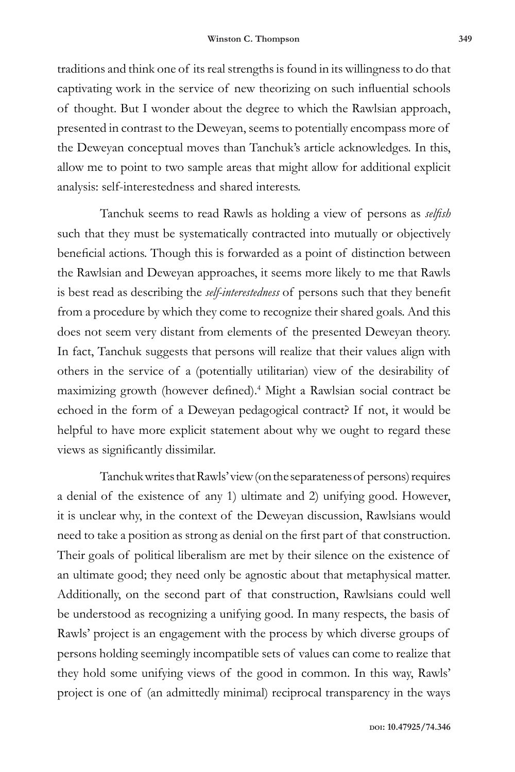traditions and think one of its real strengths is found in its willingness to do that captivating work in the service of new theorizing on such influential schools of thought. But I wonder about the degree to which the Rawlsian approach, presented in contrast to the Deweyan, seems to potentially encompass more of the Deweyan conceptual moves than Tanchuk's article acknowledges. In this, allow me to point to two sample areas that might allow for additional explicit analysis: self-interestedness and shared interests.

Tanchuk seems to read Rawls as holding a view of persons as *selfish* such that they must be systematically contracted into mutually or objectively beneficial actions. Though this is forwarded as a point of distinction between the Rawlsian and Deweyan approaches, it seems more likely to me that Rawls is best read as describing the *self-interestedness* of persons such that they benefit from a procedure by which they come to recognize their shared goals. And this does not seem very distant from elements of the presented Deweyan theory. In fact, Tanchuk suggests that persons will realize that their values align with others in the service of a (potentially utilitarian) view of the desirability of maximizing growth (however defined).<sup>4</sup> Might a Rawlsian social contract be echoed in the form of a Deweyan pedagogical contract? If not, it would be helpful to have more explicit statement about why we ought to regard these views as significantly dissimilar.

Tanchuk writes that Rawls' view (on the separateness of persons) requires a denial of the existence of any 1) ultimate and 2) unifying good. However, it is unclear why, in the context of the Deweyan discussion, Rawlsians would need to take a position as strong as denial on the first part of that construction. Their goals of political liberalism are met by their silence on the existence of an ultimate good; they need only be agnostic about that metaphysical matter. Additionally, on the second part of that construction, Rawlsians could well be understood as recognizing a unifying good. In many respects, the basis of Rawls' project is an engagement with the process by which diverse groups of persons holding seemingly incompatible sets of values can come to realize that they hold some unifying views of the good in common. In this way, Rawls' project is one of (an admittedly minimal) reciprocal transparency in the ways